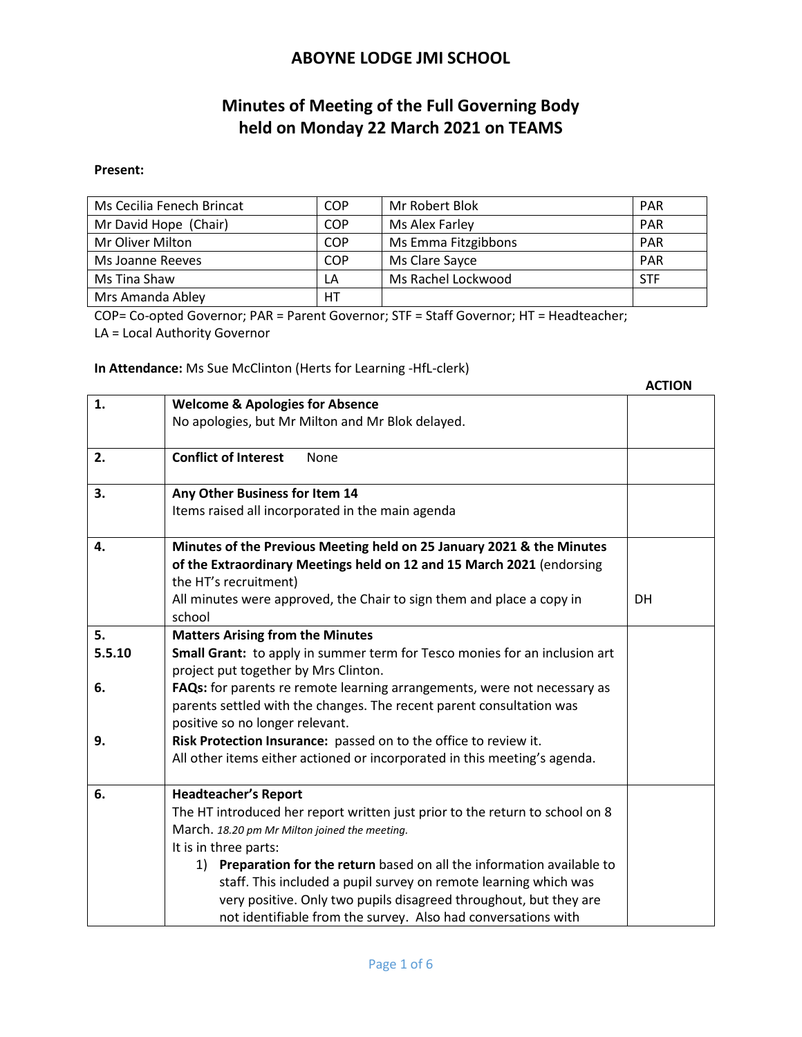# **Minutes of Meeting of the Full Governing Body held on Monday 22 March 2021 on TEAMS**

#### **Present:**

| Ms Cecilia Fenech Brincat | <b>COP</b> | Mr Robert Blok      | <b>PAR</b> |
|---------------------------|------------|---------------------|------------|
| Mr David Hope (Chair)     | <b>COP</b> | Ms Alex Farley      | <b>PAR</b> |
| Mr Oliver Milton          | <b>COP</b> | Ms Emma Fitzgibbons | <b>PAR</b> |
| Ms Joanne Reeves          | <b>COP</b> | Ms Clare Sayce      | <b>PAR</b> |
| Ms Tina Shaw              | LA         | Ms Rachel Lockwood  | <b>STF</b> |
| Mrs Amanda Abley          | HT         |                     |            |

COP= Co-opted Governor; PAR = Parent Governor; STF = Staff Governor; HT = Headteacher;

LA = Local Authority Governor

#### **In Attendance:** Ms Sue McClinton (Herts for Learning -HfL-clerk)

|        |                                                                                                                    | <b>ACTION</b> |
|--------|--------------------------------------------------------------------------------------------------------------------|---------------|
| 1.     | <b>Welcome &amp; Apologies for Absence</b>                                                                         |               |
|        | No apologies, but Mr Milton and Mr Blok delayed.                                                                   |               |
| 2.     | <b>Conflict of Interest</b><br>None                                                                                |               |
| 3.     | Any Other Business for Item 14                                                                                     |               |
|        | Items raised all incorporated in the main agenda                                                                   |               |
| 4.     | Minutes of the Previous Meeting held on 25 January 2021 & the Minutes                                              |               |
|        | of the Extraordinary Meetings held on 12 and 15 March 2021 (endorsing                                              |               |
|        | the HT's recruitment)                                                                                              |               |
|        | All minutes were approved, the Chair to sign them and place a copy in<br>school                                    | DH            |
| 5.     | <b>Matters Arising from the Minutes</b>                                                                            |               |
| 5.5.10 | Small Grant: to apply in summer term for Tesco monies for an inclusion art<br>project put together by Mrs Clinton. |               |
| 6.     | FAQs: for parents re remote learning arrangements, were not necessary as                                           |               |
|        | parents settled with the changes. The recent parent consultation was<br>positive so no longer relevant.            |               |
| 9.     | Risk Protection Insurance: passed on to the office to review it.                                                   |               |
|        | All other items either actioned or incorporated in this meeting's agenda.                                          |               |
| 6.     | <b>Headteacher's Report</b>                                                                                        |               |
|        | The HT introduced her report written just prior to the return to school on 8                                       |               |
|        | March. 18.20 pm Mr Milton joined the meeting.                                                                      |               |
|        | It is in three parts:                                                                                              |               |
|        | Preparation for the return based on all the information available to<br>1)                                         |               |
|        | staff. This included a pupil survey on remote learning which was                                                   |               |
|        | very positive. Only two pupils disagreed throughout, but they are                                                  |               |
|        | not identifiable from the survey. Also had conversations with                                                      |               |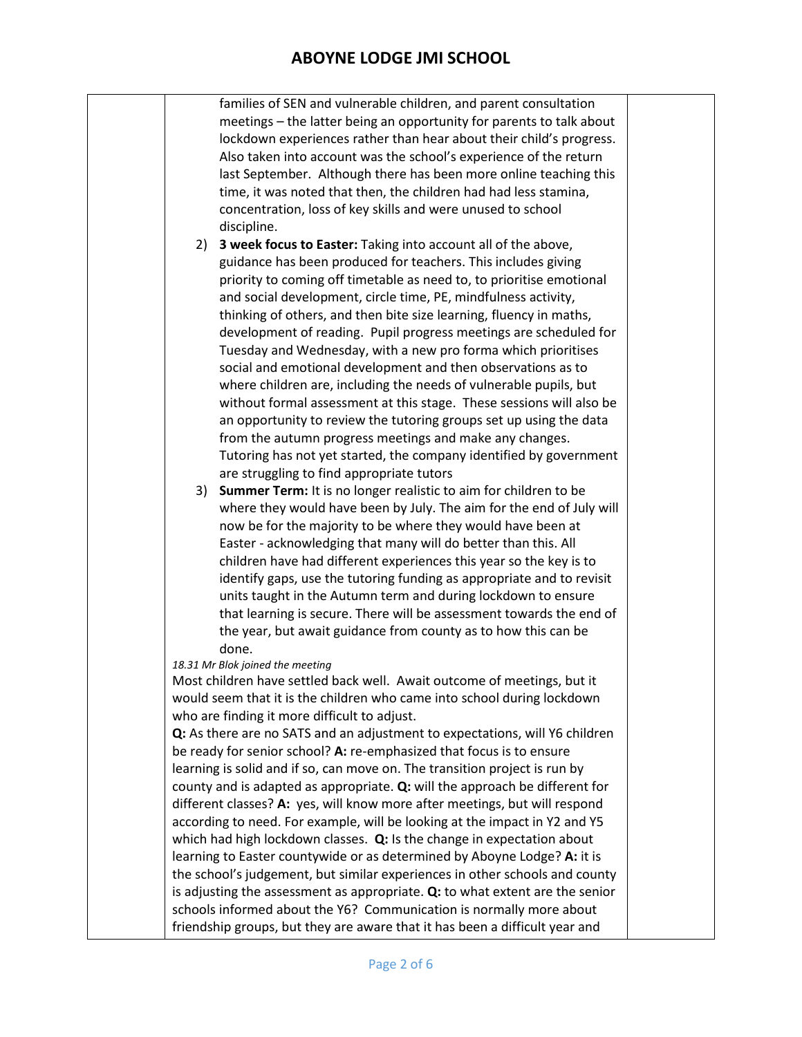families of SEN and vulnerable children, and parent consultation meetings – the latter being an opportunity for parents to talk about lockdown experiences rather than hear about their child's progress. Also taken into account was the school's experience of the return last September. Although there has been more online teaching this time, it was noted that then, the children had had less stamina, concentration, loss of key skills and were unused to school discipline. 2) **3 week focus to Easter:** Taking into account all of the above, guidance has been produced for teachers. This includes giving priority to coming off timetable as need to, to prioritise emotional and social development, circle time, PE, mindfulness activity, thinking of others, and then bite size learning, fluency in maths, development of reading. Pupil progress meetings are scheduled for Tuesday and Wednesday, with a new pro forma which prioritises social and emotional development and then observations as to where children are, including the needs of vulnerable pupils, but without formal assessment at this stage. These sessions will also be an opportunity to review the tutoring groups set up using the data from the autumn progress meetings and make any changes. Tutoring has not yet started, the company identified by government are struggling to find appropriate tutors 3) **Summer Term:** It is no longer realistic to aim for children to be where they would have been by July. The aim for the end of July will now be for the majority to be where they would have been at Easter - acknowledging that many will do better than this. All children have had different experiences this year so the key is to identify gaps, use the tutoring funding as appropriate and to revisit units taught in the Autumn term and during lockdown to ensure that learning is secure. There will be assessment towards the end of the year, but await guidance from county as to how this can be done. *18.31 Mr Blok joined the meeting* Most children have settled back well. Await outcome of meetings, but it would seem that it is the children who came into school during lockdown who are finding it more difficult to adjust. **Q:** As there are no SATS and an adjustment to expectations, will Y6 children be ready for senior school? **A:** re-emphasized that focus is to ensure learning is solid and if so, can move on. The transition project is run by county and is adapted as appropriate. **Q:** will the approach be different for different classes? **A:** yes, will know more after meetings, but will respond according to need. For example, will be looking at the impact in Y2 and Y5 which had high lockdown classes. **Q:** Is the change in expectation about learning to Easter countywide or as determined by Aboyne Lodge? **A:** it is the school's judgement, but similar experiences in other schools and county is adjusting the assessment as appropriate. **Q:** to what extent are the senior schools informed about the Y6? Communication is normally more about friendship groups, but they are aware that it has been a difficult year and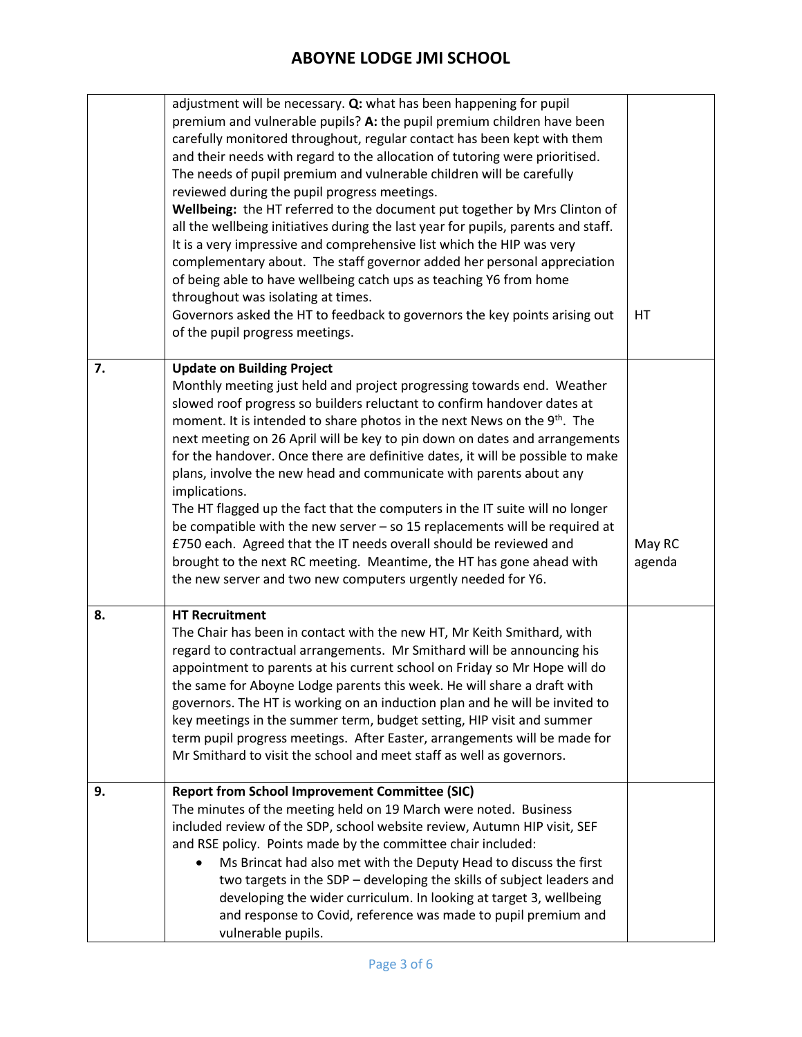|    | adjustment will be necessary. Q: what has been happening for pupil<br>premium and vulnerable pupils? A: the pupil premium children have been<br>carefully monitored throughout, regular contact has been kept with them<br>and their needs with regard to the allocation of tutoring were prioritised.<br>The needs of pupil premium and vulnerable children will be carefully<br>reviewed during the pupil progress meetings.<br>Wellbeing: the HT referred to the document put together by Mrs Clinton of<br>all the wellbeing initiatives during the last year for pupils, parents and staff.<br>It is a very impressive and comprehensive list which the HIP was very<br>complementary about. The staff governor added her personal appreciation<br>of being able to have wellbeing catch ups as teaching Y6 from home<br>throughout was isolating at times.<br>Governors asked the HT to feedback to governors the key points arising out<br>of the pupil progress meetings. | HT               |
|----|-----------------------------------------------------------------------------------------------------------------------------------------------------------------------------------------------------------------------------------------------------------------------------------------------------------------------------------------------------------------------------------------------------------------------------------------------------------------------------------------------------------------------------------------------------------------------------------------------------------------------------------------------------------------------------------------------------------------------------------------------------------------------------------------------------------------------------------------------------------------------------------------------------------------------------------------------------------------------------------|------------------|
| 7. | <b>Update on Building Project</b><br>Monthly meeting just held and project progressing towards end. Weather<br>slowed roof progress so builders reluctant to confirm handover dates at<br>moment. It is intended to share photos in the next News on the 9 <sup>th</sup> . The<br>next meeting on 26 April will be key to pin down on dates and arrangements<br>for the handover. Once there are definitive dates, it will be possible to make<br>plans, involve the new head and communicate with parents about any<br>implications.<br>The HT flagged up the fact that the computers in the IT suite will no longer<br>be compatible with the new server $-$ so 15 replacements will be required at<br>£750 each. Agreed that the IT needs overall should be reviewed and<br>brought to the next RC meeting. Meantime, the HT has gone ahead with<br>the new server and two new computers urgently needed for Y6.                                                               | May RC<br>agenda |
| 8. | <b>HT Recruitment</b><br>The Chair has been in contact with the new HT, Mr Keith Smithard, with<br>regard to contractual arrangements. Mr Smithard will be announcing his<br>appointment to parents at his current school on Friday so Mr Hope will do<br>the same for Aboyne Lodge parents this week. He will share a draft with<br>governors. The HT is working on an induction plan and he will be invited to<br>key meetings in the summer term, budget setting, HIP visit and summer<br>term pupil progress meetings. After Easter, arrangements will be made for<br>Mr Smithard to visit the school and meet staff as well as governors.                                                                                                                                                                                                                                                                                                                                    |                  |
| 9. | <b>Report from School Improvement Committee (SIC)</b><br>The minutes of the meeting held on 19 March were noted. Business<br>included review of the SDP, school website review, Autumn HIP visit, SEF<br>and RSE policy. Points made by the committee chair included:<br>Ms Brincat had also met with the Deputy Head to discuss the first<br>two targets in the SDP - developing the skills of subject leaders and<br>developing the wider curriculum. In looking at target 3, wellbeing<br>and response to Covid, reference was made to pupil premium and<br>vulnerable pupils.                                                                                                                                                                                                                                                                                                                                                                                                 |                  |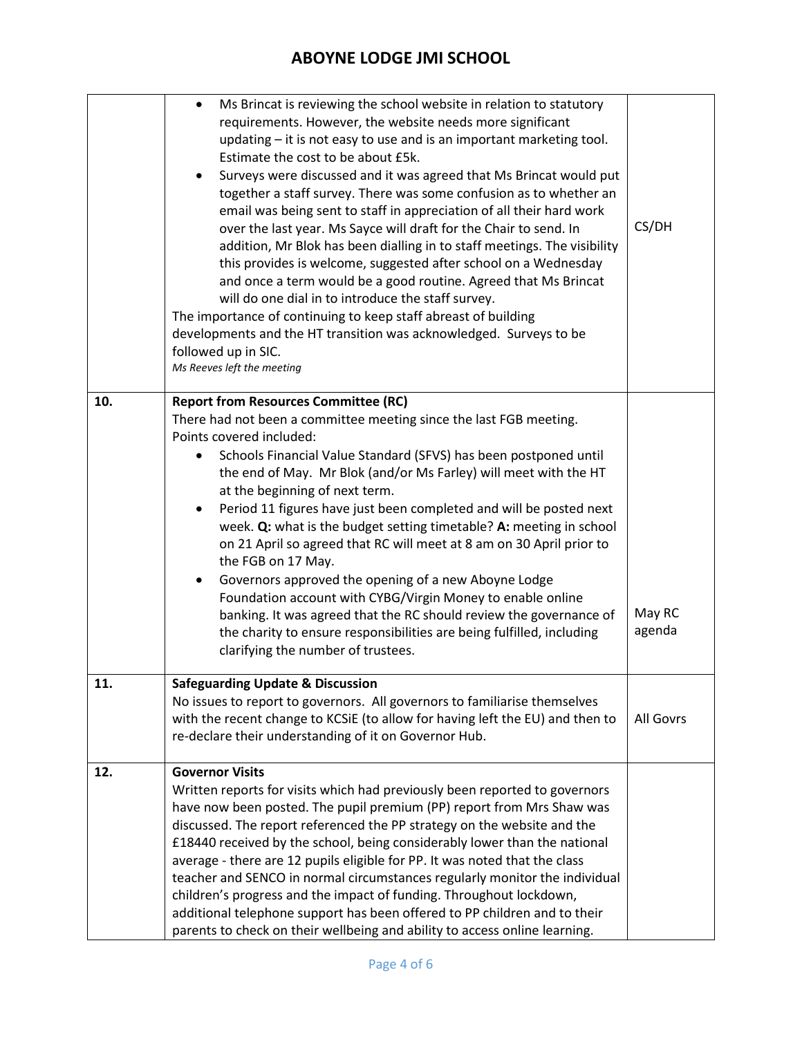|     | Ms Brincat is reviewing the school website in relation to statutory<br>requirements. However, the website needs more significant<br>updating - it is not easy to use and is an important marketing tool.<br>Estimate the cost to be about £5k.<br>Surveys were discussed and it was agreed that Ms Brincat would put<br>together a staff survey. There was some confusion as to whether an<br>email was being sent to staff in appreciation of all their hard work<br>over the last year. Ms Sayce will draft for the Chair to send. In<br>addition, Mr Blok has been dialling in to staff meetings. The visibility<br>this provides is welcome, suggested after school on a Wednesday<br>and once a term would be a good routine. Agreed that Ms Brincat<br>will do one dial in to introduce the staff survey.<br>The importance of continuing to keep staff abreast of building<br>developments and the HT transition was acknowledged. Surveys to be<br>followed up in SIC.<br>Ms Reeves left the meeting | CS/DH            |
|-----|--------------------------------------------------------------------------------------------------------------------------------------------------------------------------------------------------------------------------------------------------------------------------------------------------------------------------------------------------------------------------------------------------------------------------------------------------------------------------------------------------------------------------------------------------------------------------------------------------------------------------------------------------------------------------------------------------------------------------------------------------------------------------------------------------------------------------------------------------------------------------------------------------------------------------------------------------------------------------------------------------------------|------------------|
| 10. | <b>Report from Resources Committee (RC)</b><br>There had not been a committee meeting since the last FGB meeting.<br>Points covered included:<br>Schools Financial Value Standard (SFVS) has been postponed until<br>the end of May. Mr Blok (and/or Ms Farley) will meet with the HT<br>at the beginning of next term.<br>Period 11 figures have just been completed and will be posted next<br>week. Q: what is the budget setting timetable? A: meeting in school<br>on 21 April so agreed that RC will meet at 8 am on 30 April prior to<br>the FGB on 17 May.<br>Governors approved the opening of a new Aboyne Lodge<br>Foundation account with CYBG/Virgin Money to enable online<br>banking. It was agreed that the RC should review the governance of<br>the charity to ensure responsibilities are being fulfilled, including<br>clarifying the number of trustees.                                                                                                                                | May RC<br>agenda |
| 11. | <b>Safeguarding Update &amp; Discussion</b><br>No issues to report to governors. All governors to familiarise themselves<br>with the recent change to KCSiE (to allow for having left the EU) and then to<br>re-declare their understanding of it on Governor Hub.                                                                                                                                                                                                                                                                                                                                                                                                                                                                                                                                                                                                                                                                                                                                           | All Govrs        |
| 12. | <b>Governor Visits</b><br>Written reports for visits which had previously been reported to governors<br>have now been posted. The pupil premium (PP) report from Mrs Shaw was<br>discussed. The report referenced the PP strategy on the website and the<br>£18440 received by the school, being considerably lower than the national<br>average - there are 12 pupils eligible for PP. It was noted that the class<br>teacher and SENCO in normal circumstances regularly monitor the individual<br>children's progress and the impact of funding. Throughout lockdown,<br>additional telephone support has been offered to PP children and to their<br>parents to check on their wellbeing and ability to access online learning.                                                                                                                                                                                                                                                                          |                  |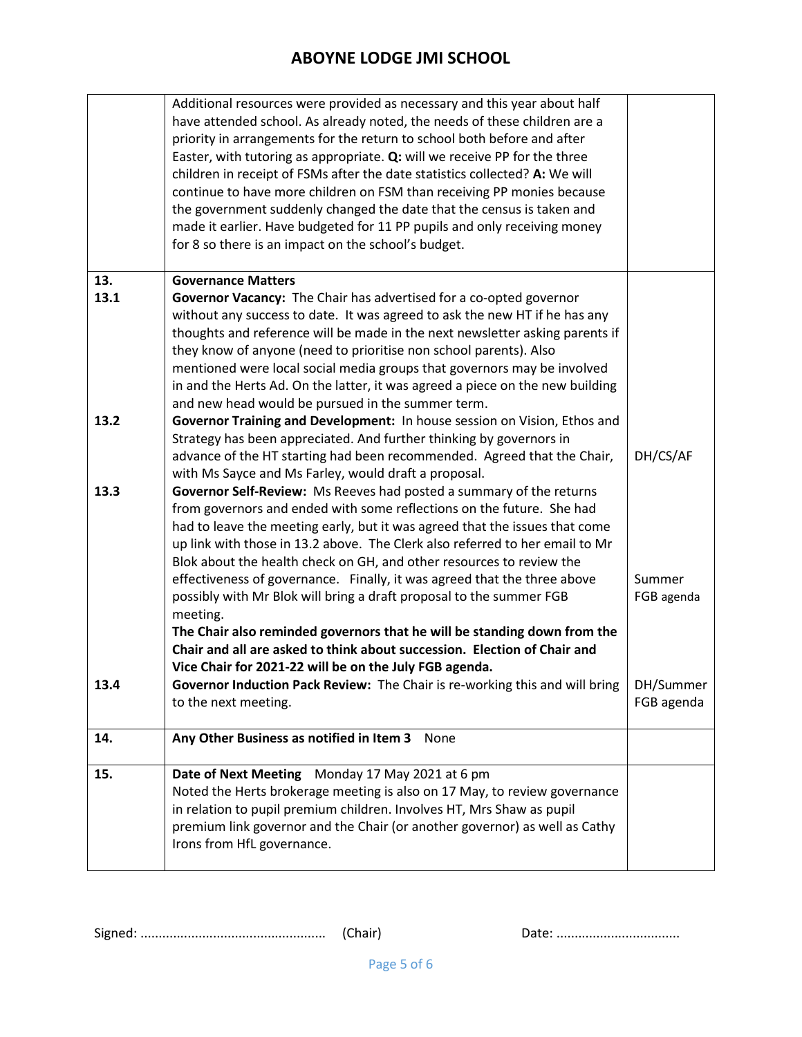|              | Additional resources were provided as necessary and this year about half<br>have attended school. As already noted, the needs of these children are a<br>priority in arrangements for the return to school both before and after<br>Easter, with tutoring as appropriate. Q: will we receive PP for the three<br>children in receipt of FSMs after the date statistics collected? A: We will<br>continue to have more children on FSM than receiving PP monies because<br>the government suddenly changed the date that the census is taken and<br>made it earlier. Have budgeted for 11 PP pupils and only receiving money<br>for 8 so there is an impact on the school's budget. |                         |
|--------------|------------------------------------------------------------------------------------------------------------------------------------------------------------------------------------------------------------------------------------------------------------------------------------------------------------------------------------------------------------------------------------------------------------------------------------------------------------------------------------------------------------------------------------------------------------------------------------------------------------------------------------------------------------------------------------|-------------------------|
| 13.          | <b>Governance Matters</b>                                                                                                                                                                                                                                                                                                                                                                                                                                                                                                                                                                                                                                                          |                         |
| 13.1         | Governor Vacancy: The Chair has advertised for a co-opted governor<br>without any success to date. It was agreed to ask the new HT if he has any<br>thoughts and reference will be made in the next newsletter asking parents if<br>they know of anyone (need to prioritise non school parents). Also<br>mentioned were local social media groups that governors may be involved<br>in and the Herts Ad. On the latter, it was agreed a piece on the new building<br>and new head would be pursued in the summer term.                                                                                                                                                             |                         |
| 13.2<br>13.3 | Governor Training and Development: In house session on Vision, Ethos and<br>Strategy has been appreciated. And further thinking by governors in<br>advance of the HT starting had been recommended. Agreed that the Chair,<br>with Ms Sayce and Ms Farley, would draft a proposal.<br>Governor Self-Review: Ms Reeves had posted a summary of the returns<br>from governors and ended with some reflections on the future. She had<br>had to leave the meeting early, but it was agreed that the issues that come<br>up link with those in 13.2 above. The Clerk also referred to her email to Mr<br>Blok about the health check on GH, and other resources to review the          | DH/CS/AF                |
|              | effectiveness of governance. Finally, it was agreed that the three above<br>possibly with Mr Blok will bring a draft proposal to the summer FGB<br>meeting.<br>The Chair also reminded governors that he will be standing down from the<br>Chair and all are asked to think about succession. Election of Chair and<br>Vice Chair for 2021-22 will be on the July FGB agenda.                                                                                                                                                                                                                                                                                                      | Summer<br>FGB agenda    |
| 13.4         | Governor Induction Pack Review: The Chair is re-working this and will bring<br>to the next meeting.                                                                                                                                                                                                                                                                                                                                                                                                                                                                                                                                                                                | DH/Summer<br>FGB agenda |
| 14.          | Any Other Business as notified in Item 3 None                                                                                                                                                                                                                                                                                                                                                                                                                                                                                                                                                                                                                                      |                         |
| 15.          | Date of Next Meeting Monday 17 May 2021 at 6 pm<br>Noted the Herts brokerage meeting is also on 17 May, to review governance<br>in relation to pupil premium children. Involves HT, Mrs Shaw as pupil<br>premium link governor and the Chair (or another governor) as well as Cathy<br>Irons from HfL governance.                                                                                                                                                                                                                                                                                                                                                                  |                         |

Signed: ................................................... (Chair) Date: ..................................